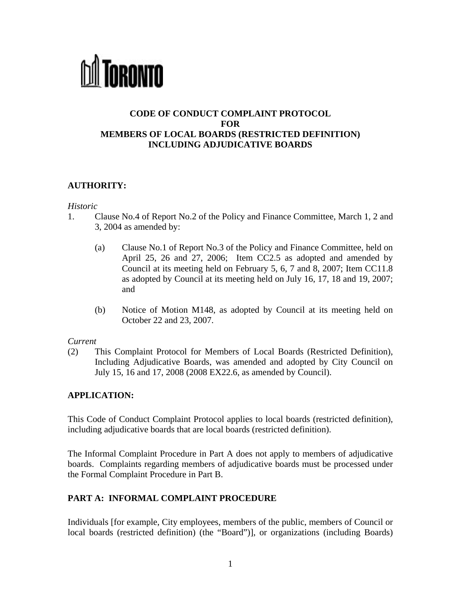

# **CODE OF CONDUCT COMPLAINT PROTOCOL FOR MEMBERS OF LOCAL BOARDS (RESTRICTED DEFINITION) INCLUDING ADJUDICATIVE BOARDS**

# **AUTHORITY:**

#### *Historic*

- 1. Clause No.4 of Report No.2 of the Policy and Finance Committee, March 1, 2 and 3, 2004 as amended by:
	- (a) Clause No.1 of Report No.3 of the Policy and Finance Committee, held on April 25, 26 and 27, 2006; Item CC2.5 as adopted and amended by Council at its meeting held on February 5, 6, 7 and 8, 2007; Item CC11.8 as adopted by Council at its meeting held on July 16, 17, 18 and 19, 2007; and
	- (b) Notice of Motion M148, as adopted by Council at its meeting held on October 22 and 23, 2007.

### *Current*

(2) This Complaint Protocol for Members of Local Boards (Restricted Definition), Including Adjudicative Boards, was amended and adopted by City Council on July 15, 16 and 17, 2008 (2008 EX22.6, as amended by Council).

### **APPLICATION:**

This Code of Conduct Complaint Protocol applies to local boards (restricted definition), including adjudicative boards that are local boards (restricted definition).

The Informal Complaint Procedure in Part A does not apply to members of adjudicative boards. Complaints regarding members of adjudicative boards must be processed under the Formal Complaint Procedure in Part B.

# **PART A: INFORMAL COMPLAINT PROCEDURE**

Individuals [for example, City employees, members of the public, members of Council or local boards (restricted definition) (the "Board")], or organizations (including Boards)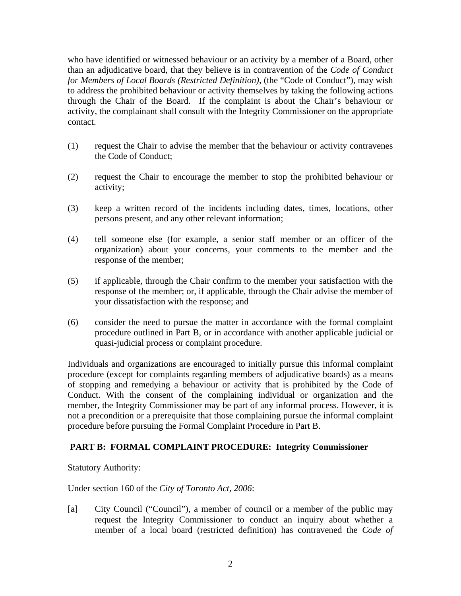who have identified or witnessed behaviour or an activity by a member of a Board, other than an adjudicative board, that they believe is in contravention of the *Code of Conduct for Members of Local Boards (Restricted Definition),* (the "Code of Conduct"), may wish to address the prohibited behaviour or activity themselves by taking the following actions through the Chair of the Board. If the complaint is about the Chair's behaviour or activity, the complainant shall consult with the Integrity Commissioner on the appropriate contact.

- (1) request the Chair to advise the member that the behaviour or activity contravenes the Code of Conduct;
- (2) request the Chair to encourage the member to stop the prohibited behaviour or activity;
- (3) keep a written record of the incidents including dates, times, locations, other persons present, and any other relevant information;
- (4) tell someone else (for example, a senior staff member or an officer of the organization) about your concerns, your comments to the member and the response of the member;
- (5) if applicable, through the Chair confirm to the member your satisfaction with the response of the member; or, if applicable, through the Chair advise the member of your dissatisfaction with the response; and
- (6) consider the need to pursue the matter in accordance with the formal complaint procedure outlined in Part B, or in accordance with another applicable judicial or quasi-judicial process or complaint procedure.

Individuals and organizations are encouraged to initially pursue this informal complaint procedure (except for complaints regarding members of adjudicative boards) as a means of stopping and remedying a behaviour or activity that is prohibited by the Code of Conduct. With the consent of the complaining individual or organization and the member, the Integrity Commissioner may be part of any informal process. However, it is not a precondition or a prerequisite that those complaining pursue the informal complaint procedure before pursuing the Formal Complaint Procedure in Part B.

# **PART B: FORMAL COMPLAINT PROCEDURE: Integrity Commissioner**

Statutory Authority:

Under section 160 of the *City of Toronto Act, 2006*:

[a] City Council ("Council"), a member of council or a member of the public may request the Integrity Commissioner to conduct an inquiry about whether a member of a local board (restricted definition) has contravened the *Code of*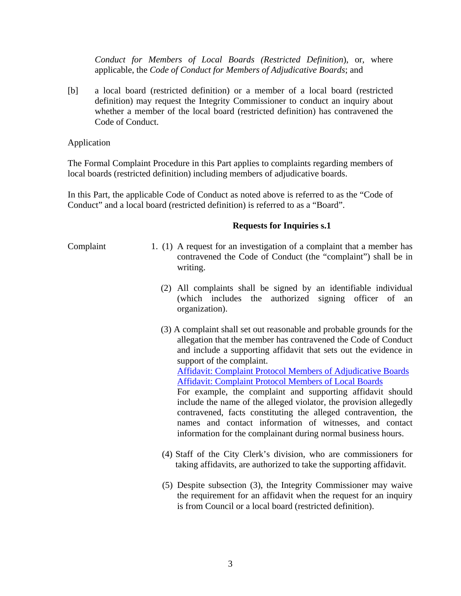*Conduct for Members of Local Boards (Restricted Definition*), or, where applicable, the *Code of Conduct for Members of Adjudicative Boards*; and

[b] a local board (restricted definition) or a member of a local board (restricted definition) may request the Integrity Commissioner to conduct an inquiry about whether a member of the local board (restricted definition) has contravened the Code of Conduct.

Application

The Formal Complaint Procedure in this Part applies to complaints regarding members of local boards (restricted definition) including members of adjudicative boards.

In this Part, the applicable Code of Conduct as noted above is referred to as the "Code of Conduct" and a local board (restricted definition) is referred to as a "Board".

#### **Requests for Inquiries s.1**

- Complaint 1. (1) A request for an investigation of a complaint that a member has contravened the Code of Conduct (the "complaint") shall be in writing.
	- (2) All complaints shall be signed by an identifiable individual (which includes the authorized signing officer of an organization).
	- (3) A complaint shall set out reasonable and probable grounds for the allegation that the member has contravened the Code of Conduct and include a supporting affidavit that sets out the evidence in support of the complaint. [Affidavit: Complaint Protocol Members of Adjudicative Boards](http://www.toronto.ca/integrity/pdf/affidavit1.pdf) [Affidavit: Complaint Protocol Members of Local Boards](http://www.toronto.ca/integrity/pdf/affidavit2.pdf) For example, the complaint and supporting affidavit should include the name of the alleged violator, the provision allegedly contravened, facts constituting the alleged contravention, the names and contact information of witnesses, and contact information for the complainant during normal business hours.
	- (4) Staff of the City Clerk's division, who are commissioners for taking affidavits, are authorized to take the supporting affidavit.
	- (5) Despite subsection (3), the Integrity Commissioner may waive the requirement for an affidavit when the request for an inquiry is from Council or a local board (restricted definition).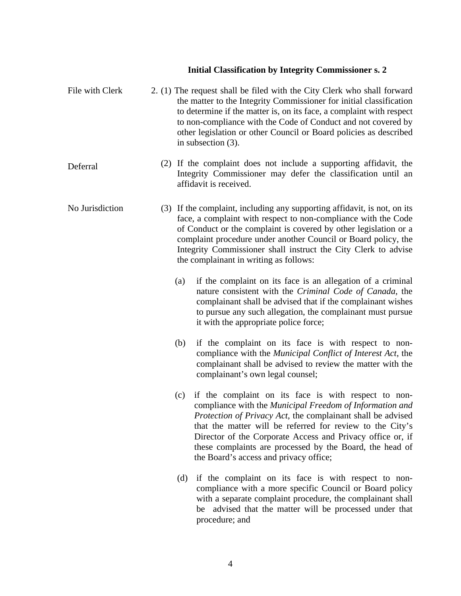# **Initial Classification by Integrity Commissioner s. 2**

| File with Clerk |     | 2. (1) The request shall be filed with the City Clerk who shall forward<br>the matter to the Integrity Commissioner for initial classification<br>to determine if the matter is, on its face, a complaint with respect<br>to non-compliance with the Code of Conduct and not covered by<br>other legislation or other Council or Board policies as described<br>in subsection $(3)$ .                                    |
|-----------------|-----|--------------------------------------------------------------------------------------------------------------------------------------------------------------------------------------------------------------------------------------------------------------------------------------------------------------------------------------------------------------------------------------------------------------------------|
| Deferral        |     | (2) If the complaint does not include a supporting affidavit, the<br>Integrity Commissioner may defer the classification until an<br>affidavit is received.                                                                                                                                                                                                                                                              |
| No Jurisdiction |     | (3) If the complaint, including any supporting affidavit, is not, on its<br>face, a complaint with respect to non-compliance with the Code<br>of Conduct or the complaint is covered by other legislation or a<br>complaint procedure under another Council or Board policy, the<br>Integrity Commissioner shall instruct the City Clerk to advise<br>the complainant in writing as follows:                             |
|                 | (a) | if the complaint on its face is an allegation of a criminal<br>nature consistent with the Criminal Code of Canada, the<br>complainant shall be advised that if the complainant wishes<br>to pursue any such allegation, the complainant must pursue<br>it with the appropriate police force;                                                                                                                             |
|                 | (b) | if the complaint on its face is with respect to non-<br>compliance with the <i>Municipal Conflict of Interest Act</i> , the<br>complainant shall be advised to review the matter with the<br>complainant's own legal counsel;                                                                                                                                                                                            |
|                 | (c) | if the complaint on its face is with respect to non-<br>compliance with the Municipal Freedom of Information and<br><i>Protection of Privacy Act</i> , the complainant shall be advised<br>that the matter will be referred for review to the City's<br>Director of the Corporate Access and Privacy office or, if<br>these complaints are processed by the Board, the head of<br>the Board's access and privacy office; |
|                 | (d) | if the complaint on its face is with respect to non-<br>compliance with a more specific Council or Board policy<br>with a separate complaint procedure, the complainant shall<br>advised that the matter will be processed under that<br>be<br>procedure; and                                                                                                                                                            |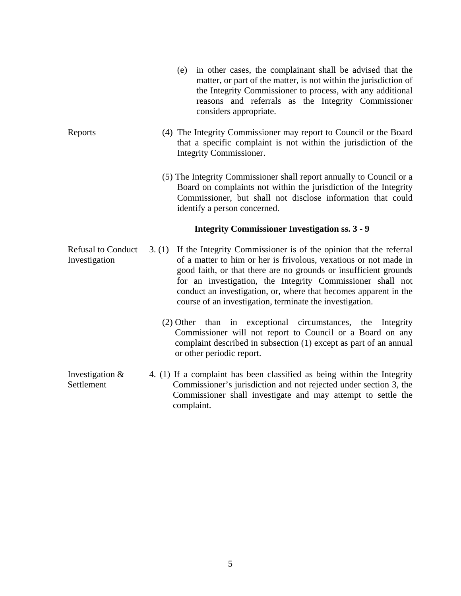- (e) in other cases, the complainant shall be advised that the matter, or part of the matter, is not within the jurisdiction of the Integrity Commissioner to process, with any additional reasons and referrals as the Integrity Commissioner considers appropriate.
- Reports (4) The Integrity Commissioner may report to Council or the Board that a specific complaint is not within the jurisdiction of the Integrity Commissioner.
	- (5) The Integrity Commissioner shall report annually to Council or a Board on complaints not within the jurisdiction of the Integrity Commissioner, but shall not disclose information that could identify a person concerned.

#### **Integrity Commissioner Investigation ss. 3 - 9**

- Refusal to Conduct Investigation 3. (1) If the Integrity Commissioner is of the opinion that the referral of a matter to him or her is frivolous, vexatious or not made in good faith, or that there are no grounds or insufficient grounds for an investigation, the Integrity Commissioner shall not conduct an investigation, or, where that becomes apparent in the course of an investigation, terminate the investigation.
	- (2) Other than in exceptional circumstances, the Integrity Commissioner will not report to Council or a Board on any complaint described in subsection (1) except as part of an annual or other periodic report.
- Investigation & Settlement 4. (1) If a complaint has been classified as being within the Integrity Commissioner's jurisdiction and not rejected under section 3, the Commissioner shall investigate and may attempt to settle the complaint.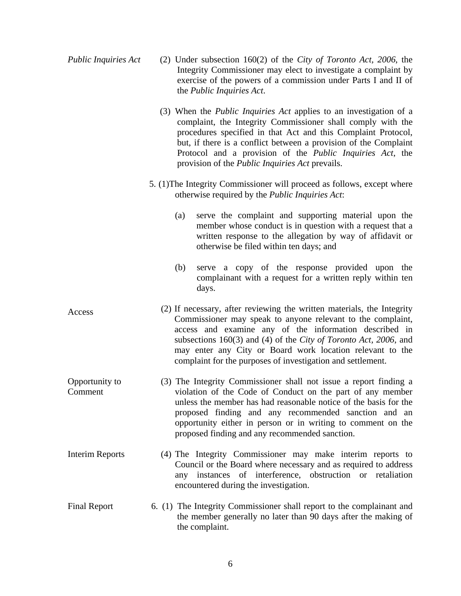| <b>Public Inquiries Act</b> | (2) Under subsection $160(2)$ of the City of Toronto Act, 2006, the<br>Integrity Commissioner may elect to investigate a complaint by<br>exercise of the powers of a commission under Parts I and II of<br>the <i>Public Inquiries Act.</i>                                                                                                                                                                  |
|-----------------------------|--------------------------------------------------------------------------------------------------------------------------------------------------------------------------------------------------------------------------------------------------------------------------------------------------------------------------------------------------------------------------------------------------------------|
|                             | (3) When the <i>Public Inquiries Act</i> applies to an investigation of a<br>complaint, the Integrity Commissioner shall comply with the<br>procedures specified in that Act and this Complaint Protocol,<br>but, if there is a conflict between a provision of the Complaint<br>Protocol and a provision of the <i>Public Inquiries Act</i> , the<br>provision of the <i>Public Inquiries Act</i> prevails. |
|                             | 5. (1) The Integrity Commissioner will proceed as follows, except where<br>otherwise required by the <i>Public Inquiries Act</i> :                                                                                                                                                                                                                                                                           |
|                             | serve the complaint and supporting material upon the<br>(a)<br>member whose conduct is in question with a request that a<br>written response to the allegation by way of affidavit or<br>otherwise be filed within ten days; and                                                                                                                                                                             |
|                             | serve a copy of the response provided upon the<br>(b)<br>complainant with a request for a written reply within ten<br>days.                                                                                                                                                                                                                                                                                  |
| Access                      | (2) If necessary, after reviewing the written materials, the Integrity<br>Commissioner may speak to anyone relevant to the complaint,<br>access and examine any of the information described in<br>subsections 160(3) and (4) of the City of Toronto Act, 2006, and<br>may enter any City or Board work location relevant to the<br>complaint for the purposes of investigation and settlement.              |
| Opportunity to<br>Comment   | (3) The Integrity Commissioner shall not issue a report finding a<br>violation of the Code of Conduct on the part of any member<br>unless the member has had reasonable notice of the basis for the<br>proposed finding and any recommended sanction and an<br>opportunity either in person or in writing to comment on the<br>proposed finding and any recommended sanction.                                |
| <b>Interim Reports</b>      | (4) The Integrity Commissioner may make interim reports to<br>Council or the Board where necessary and as required to address<br>any instances of interference, obstruction or retaliation<br>encountered during the investigation.                                                                                                                                                                          |
| <b>Final Report</b>         | 6. (1) The Integrity Commissioner shall report to the complainant and<br>the member generally no later than 90 days after the making of<br>the complaint.                                                                                                                                                                                                                                                    |

6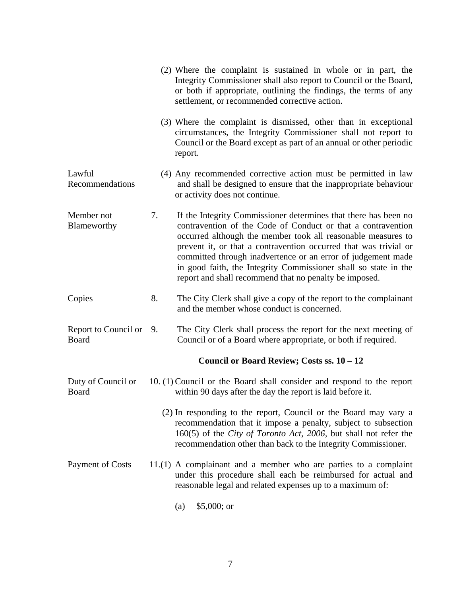|                                         |    | (2) Where the complaint is sustained in whole or in part, the<br>Integrity Commissioner shall also report to Council or the Board,<br>or both if appropriate, outlining the findings, the terms of any<br>settlement, or recommended corrective action.                                                                                                                                                                                                          |
|-----------------------------------------|----|------------------------------------------------------------------------------------------------------------------------------------------------------------------------------------------------------------------------------------------------------------------------------------------------------------------------------------------------------------------------------------------------------------------------------------------------------------------|
|                                         |    | (3) Where the complaint is dismissed, other than in exceptional<br>circumstances, the Integrity Commissioner shall not report to<br>Council or the Board except as part of an annual or other periodic<br>report.                                                                                                                                                                                                                                                |
| Lawful<br>Recommendations               |    | (4) Any recommended corrective action must be permitted in law<br>and shall be designed to ensure that the inappropriate behaviour<br>or activity does not continue.                                                                                                                                                                                                                                                                                             |
| Member not<br>Blameworthy               | 7. | If the Integrity Commissioner determines that there has been no<br>contravention of the Code of Conduct or that a contravention<br>occurred although the member took all reasonable measures to<br>prevent it, or that a contravention occurred that was trivial or<br>committed through inadvertence or an error of judgement made<br>in good faith, the Integrity Commissioner shall so state in the<br>report and shall recommend that no penalty be imposed. |
| Copies                                  | 8. | The City Clerk shall give a copy of the report to the complainant<br>and the member whose conduct is concerned.                                                                                                                                                                                                                                                                                                                                                  |
| Report to Council or 9.<br><b>Board</b> |    | The City Clerk shall process the report for the next meeting of<br>Council or of a Board where appropriate, or both if required.                                                                                                                                                                                                                                                                                                                                 |
|                                         |    | Council or Board Review; Costs ss. 10 - 12                                                                                                                                                                                                                                                                                                                                                                                                                       |
| Duty of Council or<br>Board             |    | 10. (1) Council or the Board shall consider and respond to the report<br>within 90 days after the day the report is laid before it.                                                                                                                                                                                                                                                                                                                              |
|                                         |    | (2) In responding to the report, Council or the Board may vary a<br>recommendation that it impose a penalty, subject to subsection<br>160(5) of the City of Toronto Act, 2006, but shall not refer the<br>recommendation other than back to the Integrity Commissioner.                                                                                                                                                                                          |
| <b>Payment of Costs</b>                 |    | $11.(1)$ A complainant and a member who are parties to a complaint<br>under this procedure shall each be reimbursed for actual and<br>reasonable legal and related expenses up to a maximum of:                                                                                                                                                                                                                                                                  |
|                                         |    | $$5,000;$ or<br>(a)                                                                                                                                                                                                                                                                                                                                                                                                                                              |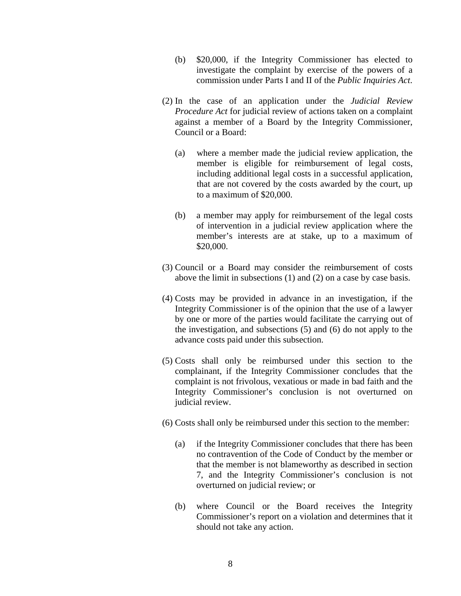- (b) \$20,000, if the Integrity Commissioner has elected to investigate the complaint by exercise of the powers of a commission under Parts I and II of the *Public Inquiries Act*.
- (2) In the case of an application under the *Judicial Review Procedure Act* for judicial review of actions taken on a complaint against a member of a Board by the Integrity Commissioner, Council or a Board:
	- (a) where a member made the judicial review application, the member is eligible for reimbursement of legal costs, including additional legal costs in a successful application, that are not covered by the costs awarded by the court, up to a maximum of \$20,000.
	- (b) a member may apply for reimbursement of the legal costs of intervention in a judicial review application where the member's interests are at stake, up to a maximum of \$20,000.
- (3) Council or a Board may consider the reimbursement of costs above the limit in subsections (1) and (2) on a case by case basis.
- (4) Costs may be provided in advance in an investigation, if the Integrity Commissioner is of the opinion that the use of a lawyer by one or more of the parties would facilitate the carrying out of the investigation, and subsections (5) and (6) do not apply to the advance costs paid under this subsection.
- (5) Costs shall only be reimbursed under this section to the complainant, if the Integrity Commissioner concludes that the complaint is not frivolous, vexatious or made in bad faith and the Integrity Commissioner's conclusion is not overturned on judicial review.
- (6) Costs shall only be reimbursed under this section to the member:
	- (a) if the Integrity Commissioner concludes that there has been no contravention of the Code of Conduct by the member or that the member is not blameworthy as described in section 7, and the Integrity Commissioner's conclusion is not overturned on judicial review; or
	- (b) where Council or the Board receives the Integrity Commissioner's report on a violation and determines that it should not take any action.